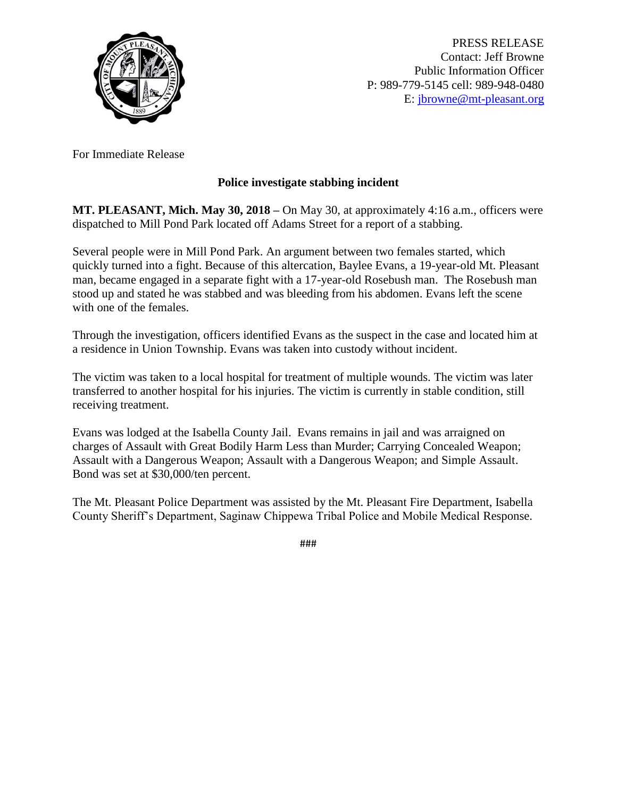

PRESS RELEASE Contact: Jeff Browne Public Information Officer P: 989-779-5145 cell: 989-948-0480 E: [jbrowne@mt-pleasant.org](mailto:jbrowne@mt-pleasant.org)

For Immediate Release

## **Police investigate stabbing incident**

**MT. PLEASANT, Mich. May 30, 2018 –** On May 30, at approximately 4:16 a.m., officers were dispatched to Mill Pond Park located off Adams Street for a report of a stabbing.

Several people were in Mill Pond Park. An argument between two females started, which quickly turned into a fight. Because of this altercation, Baylee Evans, a 19-year-old Mt. Pleasant man, became engaged in a separate fight with a 17-year-old Rosebush man. The Rosebush man stood up and stated he was stabbed and was bleeding from his abdomen. Evans left the scene with one of the females.

Through the investigation, officers identified Evans as the suspect in the case and located him at a residence in Union Township. Evans was taken into custody without incident.

The victim was taken to a local hospital for treatment of multiple wounds. The victim was later transferred to another hospital for his injuries. The victim is currently in stable condition, still receiving treatment.

Evans was lodged at the Isabella County Jail. Evans remains in jail and was arraigned on charges of Assault with Great Bodily Harm Less than Murder; Carrying Concealed Weapon; Assault with a Dangerous Weapon; Assault with a Dangerous Weapon; and Simple Assault. Bond was set at \$30,000/ten percent.

The Mt. Pleasant Police Department was assisted by the Mt. Pleasant Fire Department, Isabella County Sheriff's Department, Saginaw Chippewa Tribal Police and Mobile Medical Response.

###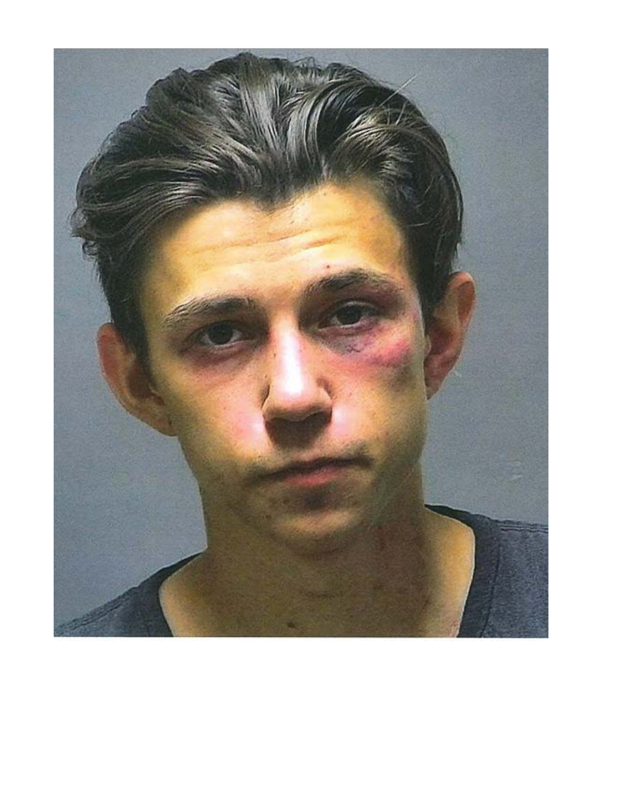